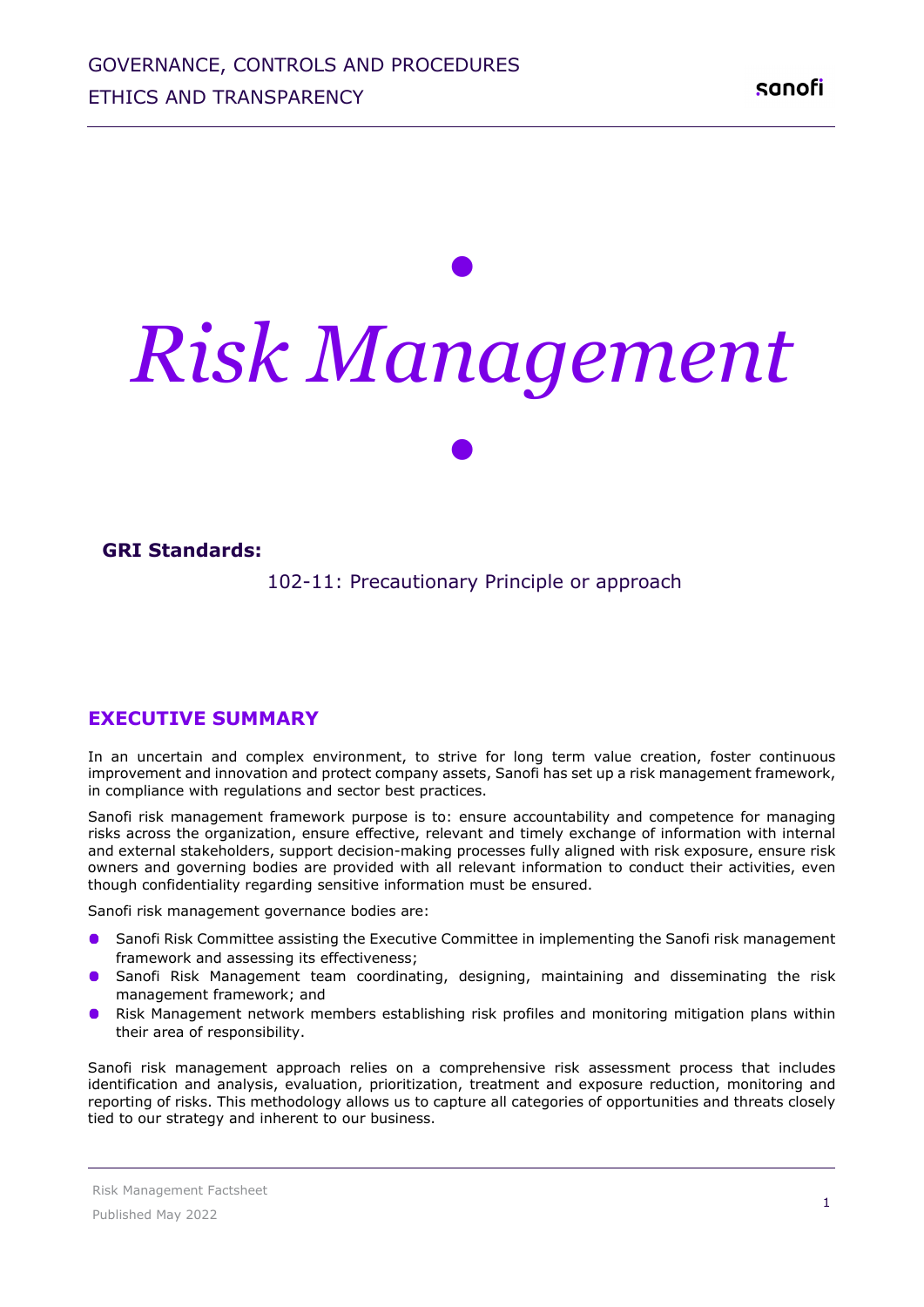# *• Risk Management •*

#### **GRI Standards:**

102-11: Precautionary Principle or approach

#### **EXECUTIVE SUMMARY**

In an uncertain and complex environment, to strive for long term value creation, foster continuous improvement and innovation and protect company assets, Sanofi has set up a risk management framework, in compliance with regulations and sector best practices.

Sanofi risk management framework purpose is to: ensure accountability and competence for managing risks across the organization, ensure effective, relevant and timely exchange of information with internal and external stakeholders, support decision-making processes fully aligned with risk exposure, ensure risk owners and governing bodies are provided with all relevant information to conduct their activities, even though confidentiality regarding sensitive information must be ensured.

Sanofi risk management governance bodies are:

- Sanofi Risk Committee assisting the Executive Committee in implementing the Sanofi risk management framework and assessing its effectiveness;
- Sanofi Risk Management team coordinating, designing, maintaining and disseminating the risk management framework; and
- Risk Management network members establishing risk profiles and monitoring mitigation plans within their area of responsibility.

Sanofi risk management approach relies on a comprehensive risk assessment process that includes identification and analysis, evaluation, prioritization, treatment and exposure reduction, monitoring and reporting of risks. This methodology allows us to capture all categories of opportunities and threats closely tied to our strategy and inherent to our business.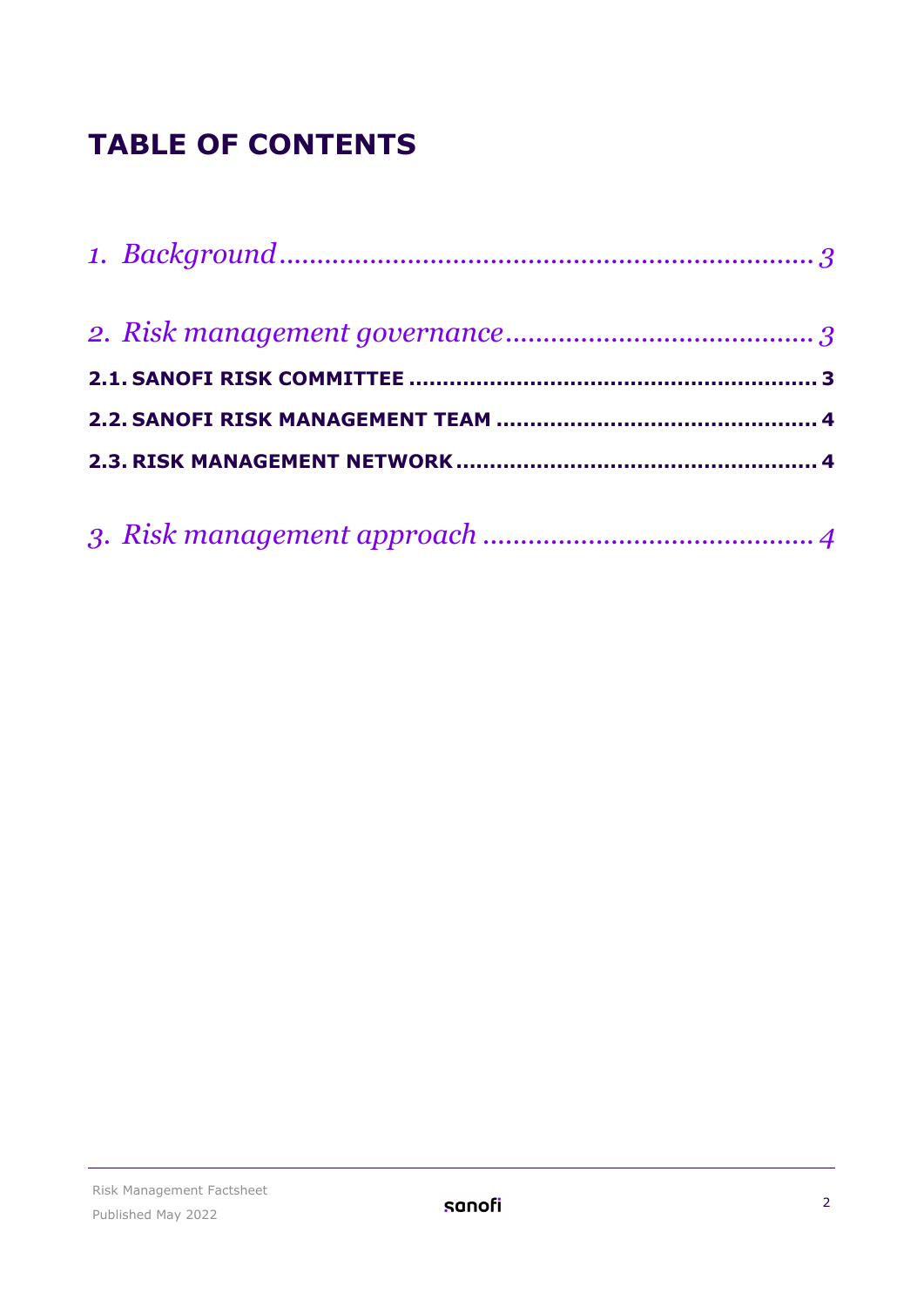# **TABLE OF CONTENTS**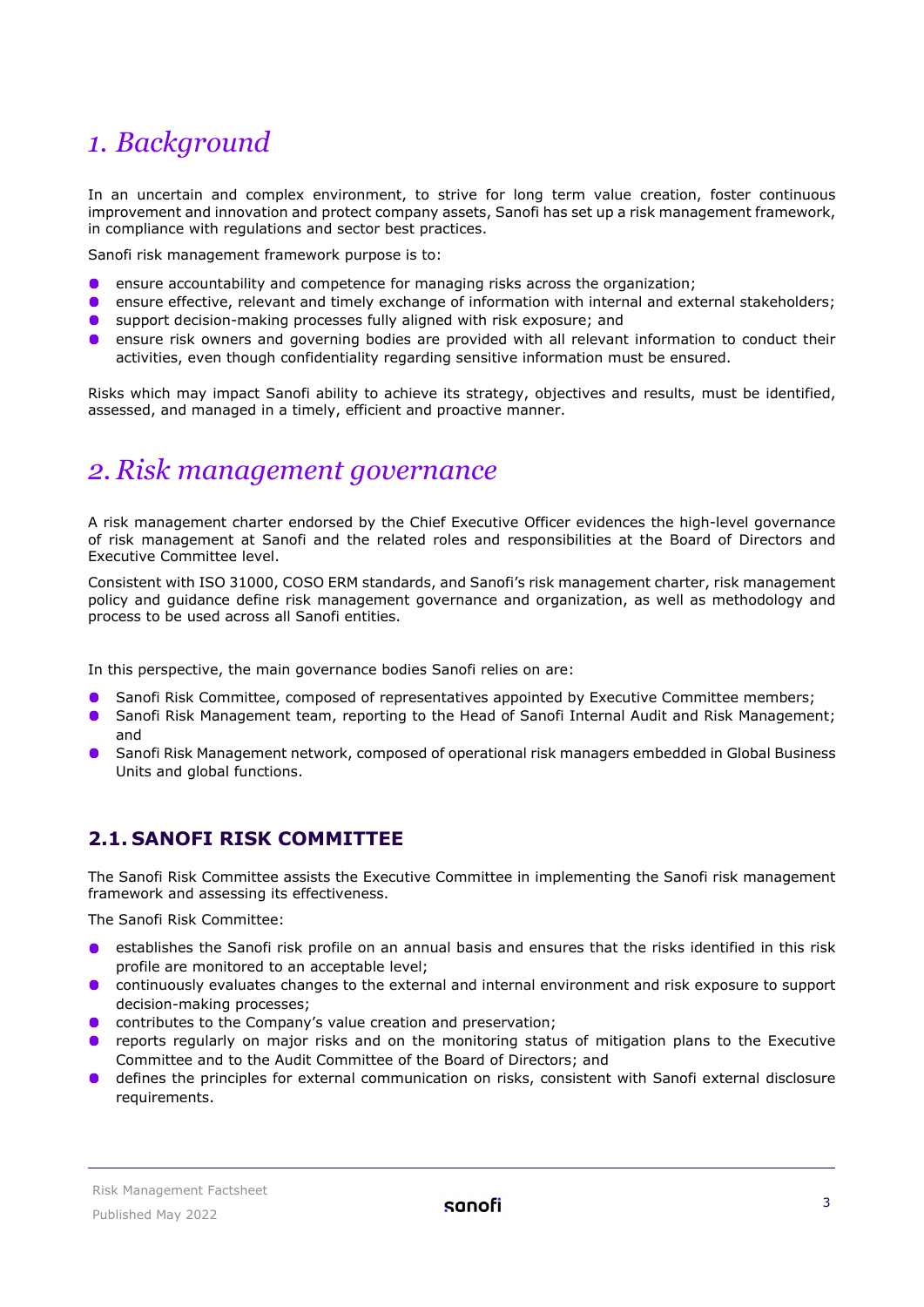## <span id="page-2-0"></span>*1. Background*

In an uncertain and complex environment, to strive for long term value creation, foster continuous improvement and innovation and protect company assets, Sanofi has set up a risk management framework, in compliance with regulations and sector best practices.

Sanofi risk management framework purpose is to:

- ensure accountability and competence for managing risks across the organization;
- **C** ensure effective, relevant and timely exchange of information with internal and external stakeholders;
- $\bullet$ support decision-making processes fully aligned with risk exposure; and
- $\bullet$ ensure risk owners and governing bodies are provided with all relevant information to conduct their activities, even though confidentiality regarding sensitive information must be ensured.

Risks which may impact Sanofi ability to achieve its strategy, objectives and results, must be identified, assessed, and managed in a timely, efficient and proactive manner.

## <span id="page-2-1"></span>*2. Risk management governance*

A risk management charter endorsed by the Chief Executive Officer evidences the high-level governance of risk management at Sanofi and the related roles and responsibilities at the Board of Directors and Executive Committee level.

Consistent with ISO 31000, COSO ERM standards, and Sanofi's risk management charter, risk management policy and guidance define risk management governance and organization, as well as methodology and process to be used across all Sanofi entities.

In this perspective, the main governance bodies Sanofi relies on are:

- Sanofi Risk Committee, composed of representatives appointed by Executive Committee members;
- Sanofi Risk Management team, reporting to the Head of Sanofi Internal Audit and Risk Management;  $\bullet$ and
- Sanofi Risk Management network, composed of operational risk managers embedded in Global Business Units and global functions.

## <span id="page-2-2"></span>**2.1. SANOFI RISK COMMITTEE**

The Sanofi Risk Committee assists the Executive Committee in implementing the Sanofi risk management framework and assessing its effectiveness.

The Sanofi Risk Committee:

- establishes the Sanofi risk profile on an annual basis and ensures that the risks identified in this risk profile are monitored to an acceptable level;
- continuously evaluates changes to the external and internal environment and risk exposure to support decision-making processes;
- **O** contributes to the Company's value creation and preservation;
- reports regularly on major risks and on the monitoring status of mitigation plans to the Executive Committee and to the Audit Committee of the Board of Directors; and
- defines the principles for external communication on risks, consistent with Sanofi external disclosure requirements.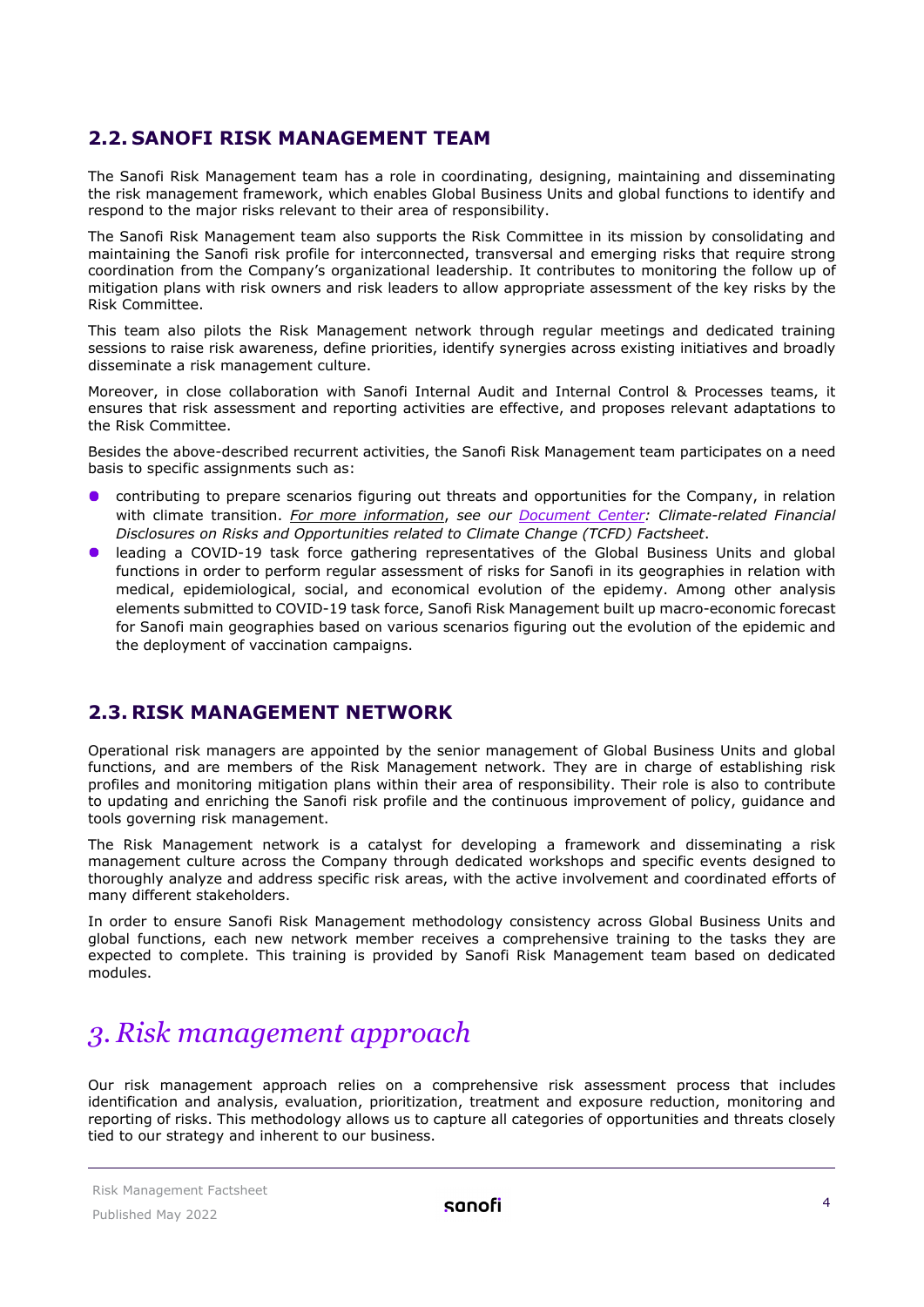## <span id="page-3-0"></span>**2.2. SANOFI RISK MANAGEMENT TEAM**

The Sanofi Risk Management team has a role in coordinating, designing, maintaining and disseminating the risk management framework, which enables Global Business Units and global functions to identify and respond to the major risks relevant to their area of responsibility.

The Sanofi Risk Management team also supports the Risk Committee in its mission by consolidating and maintaining the Sanofi risk profile for interconnected, transversal and emerging risks that require strong coordination from the Company's organizational leadership. It contributes to monitoring the follow up of mitigation plans with risk owners and risk leaders to allow appropriate assessment of the key risks by the Risk Committee.

This team also pilots the Risk Management network through regular meetings and dedicated training sessions to raise risk awareness, define priorities, identify synergies across existing initiatives and broadly disseminate a risk management culture.

Moreover, in close collaboration with Sanofi Internal Audit and Internal Control & Processes teams, it ensures that risk assessment and reporting activities are effective, and proposes relevant adaptations to the Risk Committee.

Besides the above-described recurrent activities, the Sanofi Risk Management team participates on a need basis to specific assignments such as:

- contributing to prepare scenarios figuring out threats and opportunities for the Company, in relation with climate transition. *For more information*, *see our [Document Center:](https://www.sanofi.com/en/our-responsibility/documents-center/all-factsheets) Climate-related Financial Disclosures on Risks and Opportunities related to Climate Change (TCFD) Factsheet*.
- leading a COVID-19 task force gathering representatives of the Global Business Units and global functions in order to perform regular assessment of risks for Sanofi in its geographies in relation with medical, epidemiological, social, and economical evolution of the epidemy. Among other analysis elements submitted to COVID-19 task force, Sanofi Risk Management built up macro-economic forecast for Sanofi main geographies based on various scenarios figuring out the evolution of the epidemic and the deployment of vaccination campaigns.

#### <span id="page-3-1"></span>**2.3. RISK MANAGEMENT NETWORK**

Operational risk managers are appointed by the senior management of Global Business Units and global functions, and are members of the Risk Management network. They are in charge of establishing risk profiles and monitoring mitigation plans within their area of responsibility. Their role is also to contribute to updating and enriching the Sanofi risk profile and the continuous improvement of policy, guidance and tools governing risk management.

The Risk Management network is a catalyst for developing a framework and disseminating a risk management culture across the Company through dedicated workshops and specific events designed to thoroughly analyze and address specific risk areas, with the active involvement and coordinated efforts of many different stakeholders.

In order to ensure Sanofi Risk Management methodology consistency across Global Business Units and global functions, each new network member receives a comprehensive training to the tasks they are expected to complete. This training is provided by Sanofi Risk Management team based on dedicated modules.

## <span id="page-3-2"></span>*3. Risk management approach*

Our risk management approach relies on a comprehensive risk assessment process that includes identification and analysis, evaluation, prioritization, treatment and exposure reduction, monitoring and reporting of risks. This methodology allows us to capture all categories of opportunities and threats closely tied to our strategy and inherent to our business.